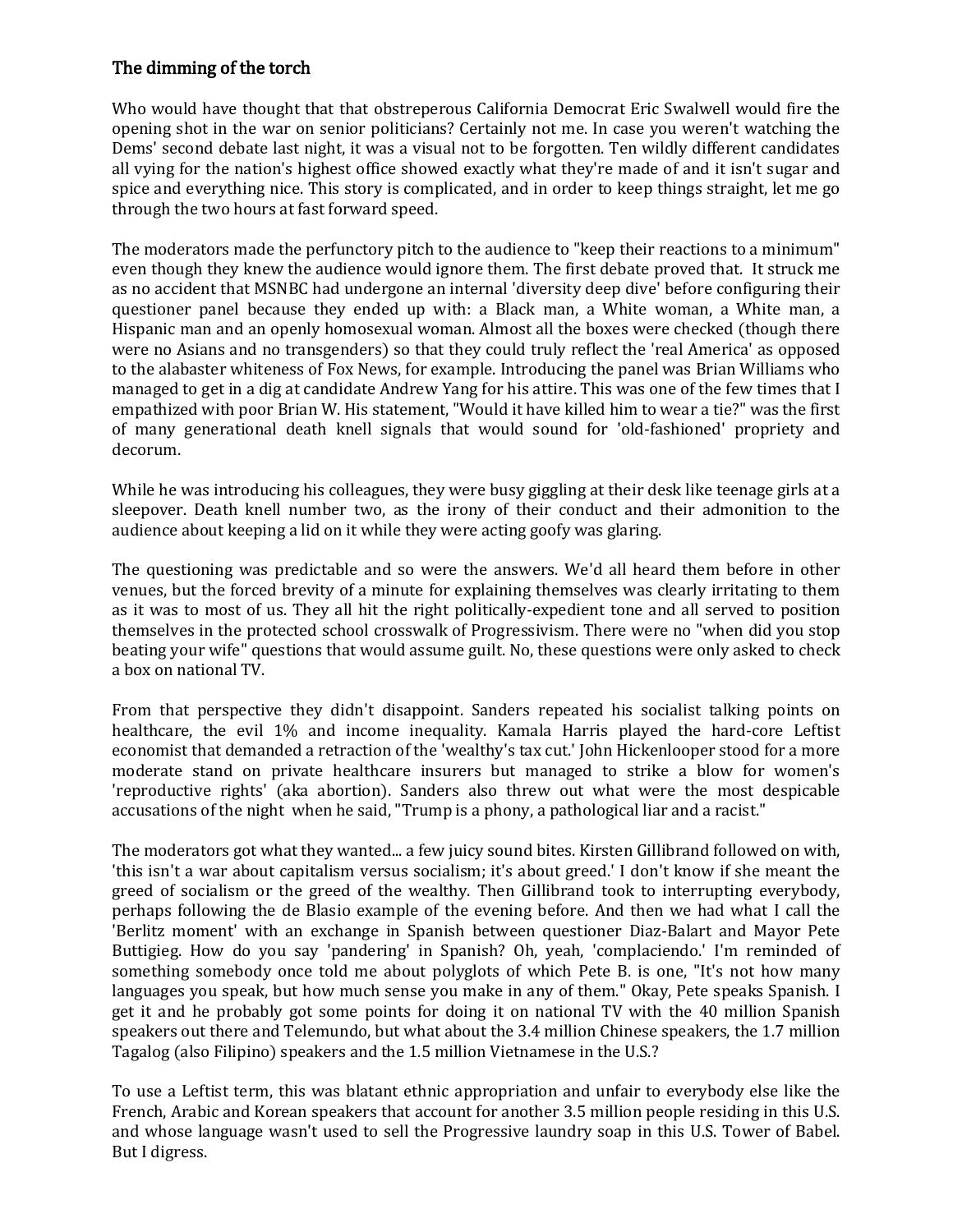## The dimming of the torch

Who would have thought that that obstreperous California Democrat Eric Swalwell would fire the opening shot in the war on senior politicians? Certainly not me. In case you weren't watching the Dems' second debate last night, it was a visual not to be forgotten. Ten wildly different candidates all vying for the nation's highest office showed exactly what they're made of and it isn't sugar and spice and everything nice. This story is complicated, and in order to keep things straight, let me go through the two hours at fast forward speed.

The moderators made the perfunctory pitch to the audience to "keep their reactions to a minimum" even though they knew the audience would ignore them. The first debate proved that. It struck me as no accident that MSNBC had undergone an internal 'diversity deep dive' before configuring their questioner panel because they ended up with: a Black man, a White woman, a White man, a Hispanic man and an openly homosexual woman. Almost all the boxes were checked (though there were no Asians and no transgenders) so that they could truly reflect the 'real America' as opposed to the alabaster whiteness of Fox News, for example. Introducing the panel was Brian Williams who managed to get in a dig at candidate Andrew Yang for his attire. This was one of the few times that I empathized with poor Brian W. His statement, "Would it have killed him to wear a tie?" was the first of many generational death knell signals that would sound for 'old-fashioned' propriety and decorum.

While he was introducing his colleagues, they were busy giggling at their desk like teenage girls at a sleepover. Death knell number two, as the irony of their conduct and their admonition to the audience about keeping a lid on it while they were acting goofy was glaring.

The questioning was predictable and so were the answers. We'd all heard them before in other venues, but the forced brevity of a minute for explaining themselves was clearly irritating to them as it was to most of us. They all hit the right politically-expedient tone and all served to position themselves in the protected school crosswalk of Progressivism. There were no "when did you stop beating your wife" questions that would assume guilt. No, these questions were only asked to check a box on national TV.

From that perspective they didn't disappoint. Sanders repeated his socialist talking points on healthcare, the evil 1% and income inequality. Kamala Harris played the hard-core Leftist economist that demanded a retraction of the 'wealthy's tax cut.' John Hickenlooper stood for a more moderate stand on private healthcare insurers but managed to strike a blow for women's 'reproductive rights' (aka abortion). Sanders also threw out what were the most despicable accusations of the night when he said, "Trump is a phony, a pathological liar and a racist."

The moderators got what they wanted... a few juicy sound bites. Kirsten Gillibrand followed on with, 'this isn't a war about capitalism versus socialism; it's about greed.' I don't know if she meant the greed of socialism or the greed of the wealthy. Then Gillibrand took to interrupting everybody, perhaps following the de Blasio example of the evening before. And then we had what I call the 'Berlitz moment' with an exchange in Spanish between questioner Diaz-Balart and Mayor Pete Buttigieg. How do you say 'pandering' in Spanish? Oh, yeah, 'complaciendo.' I'm reminded of something somebody once told me about polyglots of which Pete B. is one, "It's not how many languages you speak, but how much sense you make in any of them." Okay, Pete speaks Spanish. I get it and he probably got some points for doing it on national TV with the 40 million Spanish speakers out there and Telemundo, but what about the 3.4 million Chinese speakers, the 1.7 million Tagalog (also Filipino) speakers and the 1.5 million Vietnamese in the U.S.?

To use a Leftist term, this was blatant ethnic appropriation and unfair to everybody else like the French, Arabic and Korean speakers that account for another 3.5 million people residing in this U.S. and whose language wasn't used to sell the Progressive laundry soap in this U.S. Tower of Babel. But I digress.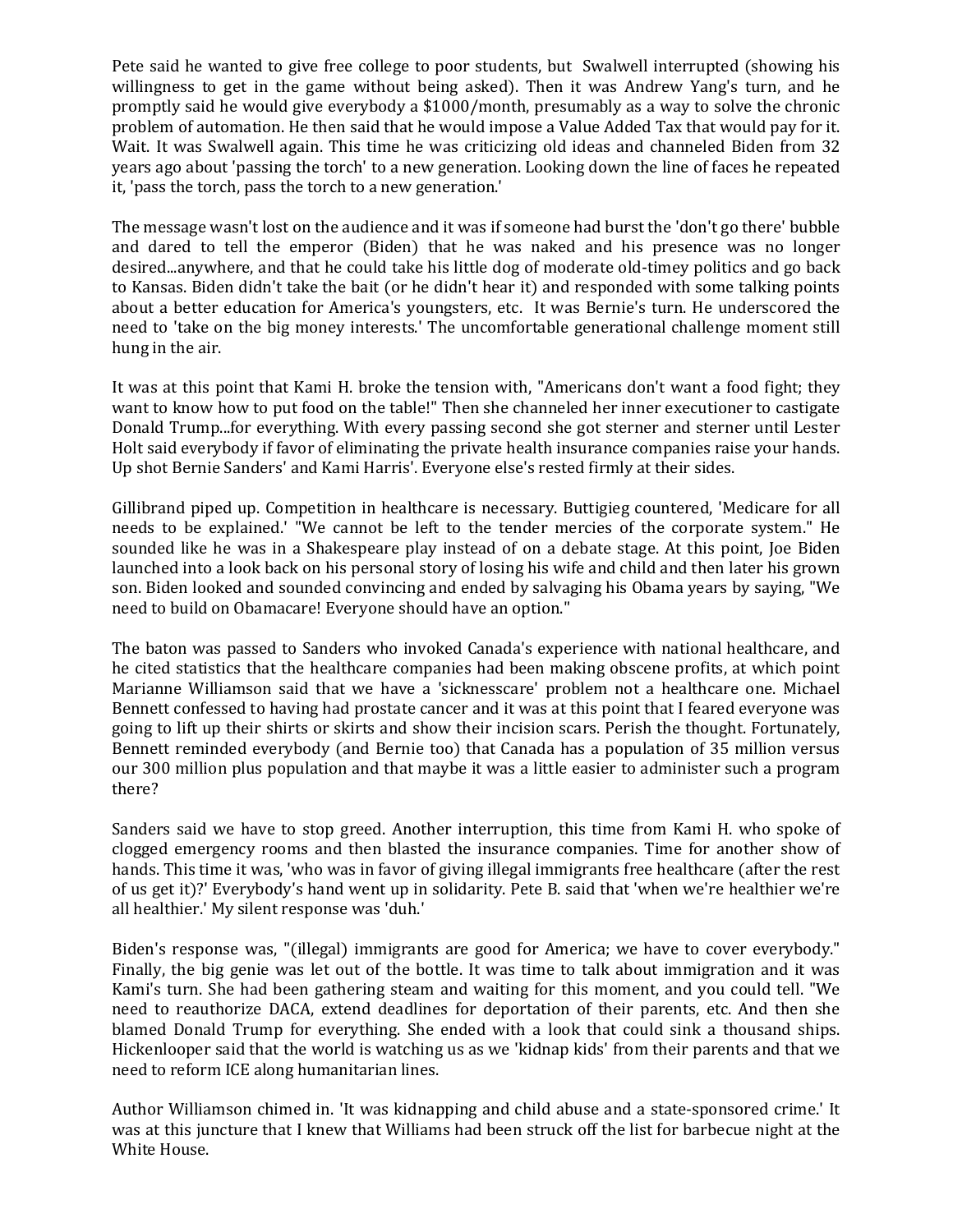Pete said he wanted to give free college to poor students, but Swalwell interrupted (showing his willingness to get in the game without being asked). Then it was Andrew Yang's turn, and he promptly said he would give everybody a \$1000/month, presumably as a way to solve the chronic problem of automation. He then said that he would impose a Value Added Tax that would pay for it. Wait. It was Swalwell again. This time he was criticizing old ideas and channeled Biden from 32 years ago about 'passing the torch' to a new generation. Looking down the line of faces he repeated it, 'pass the torch, pass the torch to a new generation.'

The message wasn't lost on the audience and it was if someone had burst the 'don't go there' bubble and dared to tell the emperor (Biden) that he was naked and his presence was no longer desired...anywhere, and that he could take his little dog of moderate old-timey politics and go back to Kansas. Biden didn't take the bait (or he didn't hear it) and responded with some talking points about a better education for America's youngsters, etc. It was Bernie's turn. He underscored the need to 'take on the big money interests.' The uncomfortable generational challenge moment still hung in the air.

It was at this point that Kami H. broke the tension with, "Americans don't want a food fight; they want to know how to put food on the table!" Then she channeled her inner executioner to castigate Donald Trump...for everything. With every passing second she got sterner and sterner until Lester Holt said everybody if favor of eliminating the private health insurance companies raise your hands. Up shot Bernie Sanders' and Kami Harris'. Everyone else's rested firmly at their sides.

Gillibrand piped up. Competition in healthcare is necessary. Buttigieg countered, 'Medicare for all needs to be explained.' "We cannot be left to the tender mercies of the corporate system." He sounded like he was in a Shakespeare play instead of on a debate stage. At this point, Joe Biden launched into a look back on his personal story of losing his wife and child and then later his grown son. Biden looked and sounded convincing and ended by salvaging his Obama years by saying, "We need to build on Obamacare! Everyone should have an option."

The baton was passed to Sanders who invoked Canada's experience with national healthcare, and he cited statistics that the healthcare companies had been making obscene profits, at which point Marianne Williamson said that we have a 'sicknesscare' problem not a healthcare one. Michael Bennett confessed to having had prostate cancer and it was at this point that I feared everyone was going to lift up their shirts or skirts and show their incision scars. Perish the thought. Fortunately, Bennett reminded everybody (and Bernie too) that Canada has a population of 35 million versus our 300 million plus population and that maybe it was a little easier to administer such a program there?

Sanders said we have to stop greed. Another interruption, this time from Kami H. who spoke of clogged emergency rooms and then blasted the insurance companies. Time for another show of hands. This time it was, 'who was in favor of giving illegal immigrants free healthcare (after the rest of us get it)?' Everybody's hand went up in solidarity. Pete B. said that 'when we're healthier we're all healthier.' My silent response was 'duh.'

Biden's response was, "(illegal) immigrants are good for America; we have to cover everybody." Finally, the big genie was let out of the bottle. It was time to talk about immigration and it was Kami's turn. She had been gathering steam and waiting for this moment, and you could tell. "We need to reauthorize DACA, extend deadlines for deportation of their parents, etc. And then she blamed Donald Trump for everything. She ended with a look that could sink a thousand ships. Hickenlooper said that the world is watching us as we 'kidnap kids' from their parents and that we need to reform ICE along humanitarian lines.

Author Williamson chimed in. 'It was kidnapping and child abuse and a state-sponsored crime.' It was at this juncture that I knew that Williams had been struck off the list for barbecue night at the White House.